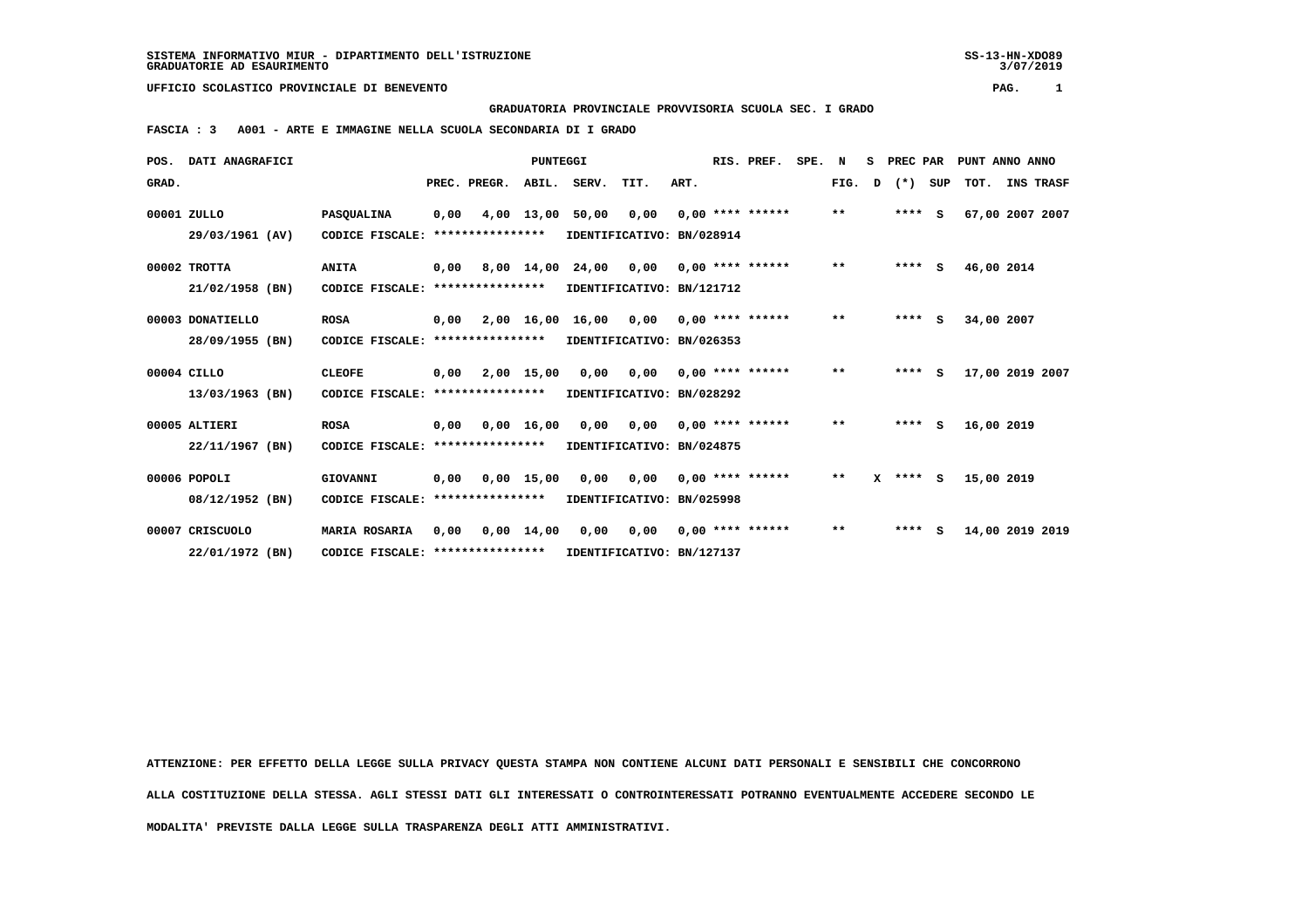**GRADUATORIA PROVINCIALE PROVVISORIA SCUOLA SEC. I GRADO**

 **FASCIA : 3 A001 - ARTE E IMMAGINE NELLA SCUOLA SECONDARIA DI I GRADO**

|       | POS. DATI ANAGRAFICI |                                  |      |                  |            | <b>PUNTEGGI</b>                      |                           |      | RIS. PREF.         | SPE. N |              | S PREC PAR   |     | PUNT ANNO ANNO  |  |
|-------|----------------------|----------------------------------|------|------------------|------------|--------------------------------------|---------------------------|------|--------------------|--------|--------------|--------------|-----|-----------------|--|
| GRAD. |                      |                                  |      | PREC. PREGR.     |            | ABIL. SERV.                          | TIT.                      | ART. |                    |        | FIG. D       | $(*)$        | SUP | TOT. INS TRASF  |  |
|       | 00001 ZULLO          | PASQUALINA                       | 0,00 |                  | 4,00 13,00 | 50,00 0,00                           |                           |      | $0.00$ **** ****** |        | $\star\star$ | $***$ S      |     | 67,00 2007 2007 |  |
|       | 29/03/1961 (AV)      | CODICE FISCALE:                  |      | **************** |            |                                      | IDENTIFICATIVO: BN/028914 |      |                    |        |              |              |     |                 |  |
|       | 00002 TROTTA         | <b>ANITA</b>                     |      |                  |            | $0,00$ $8,00$ $14,00$ $24,00$ $0,00$ |                           |      | $0.00$ **** ****** |        | $***$        | $***$ S      |     | 46,00 2014      |  |
|       | 21/02/1958 (BN)      | CODICE FISCALE: **************** |      |                  |            |                                      | IDENTIFICATIVO: BN/121712 |      |                    |        |              |              |     |                 |  |
|       | 00003 DONATIELLO     | <b>ROSA</b>                      | 0,00 |                  |            | 2,00 16,00 16,00 0,00                |                           |      | $0.00$ **** ****** |        | $***$        | $***$ S      |     | 34,00 2007      |  |
|       | 28/09/1955 (BN)      | CODICE FISCALE: **************** |      |                  |            |                                      | IDENTIFICATIVO: BN/026353 |      |                    |        |              |              |     |                 |  |
|       | 00004 CILLO          | <b>CLEOFE</b>                    | 0.00 |                  |            | 2,00 15,00 0,00 0,00                 |                           |      | $0.00$ **** ****** |        | $***$        | $***$ S      |     | 17,00 2019 2007 |  |
|       | 13/03/1963 (BN)      | CODICE FISCALE: **************** |      |                  |            | IDENTIFICATIVO: BN/028292            |                           |      |                    |        |              |              |     |                 |  |
|       | 00005 ALTIERI        | <b>ROSA</b>                      |      |                  |            | $0.00$ $0.00$ $16.00$ $0.00$ $0.00$  |                           |      | $0.00$ **** ****** |        | $* *$        | **** $S$     |     | 16,00 2019      |  |
|       | 22/11/1967 (BN)      | CODICE FISCALE: **************** |      |                  |            | IDENTIFICATIVO: BN/024875            |                           |      |                    |        |              |              |     |                 |  |
|       | 00006 POPOLI         | GIOVANNI                         |      |                  |            | 0,00 0,00 15,00 0,00 0,00            |                           |      | $0.00$ **** ****** |        | $* *$        | $X$ **** $S$ |     | 15,00 2019      |  |
|       | 08/12/1952 (BN)      | CODICE FISCALE:                  |      | **************** |            | IDENTIFICATIVO: BN/025998            |                           |      |                    |        |              |              |     |                 |  |
|       | 00007 CRISCUOLO      | <b>MARIA ROSARIA</b>             |      |                  |            | $0,00$ $0,00$ $14,00$ $0,00$ $0,00$  |                           |      | $0.00$ **** ****** |        | $\star\star$ | $***$ S      |     | 14,00 2019 2019 |  |
|       | 22/01/1972 (BN)      | CODICE FISCALE: **************** |      |                  |            | IDENTIFICATIVO: BN/127137            |                           |      |                    |        |              |              |     |                 |  |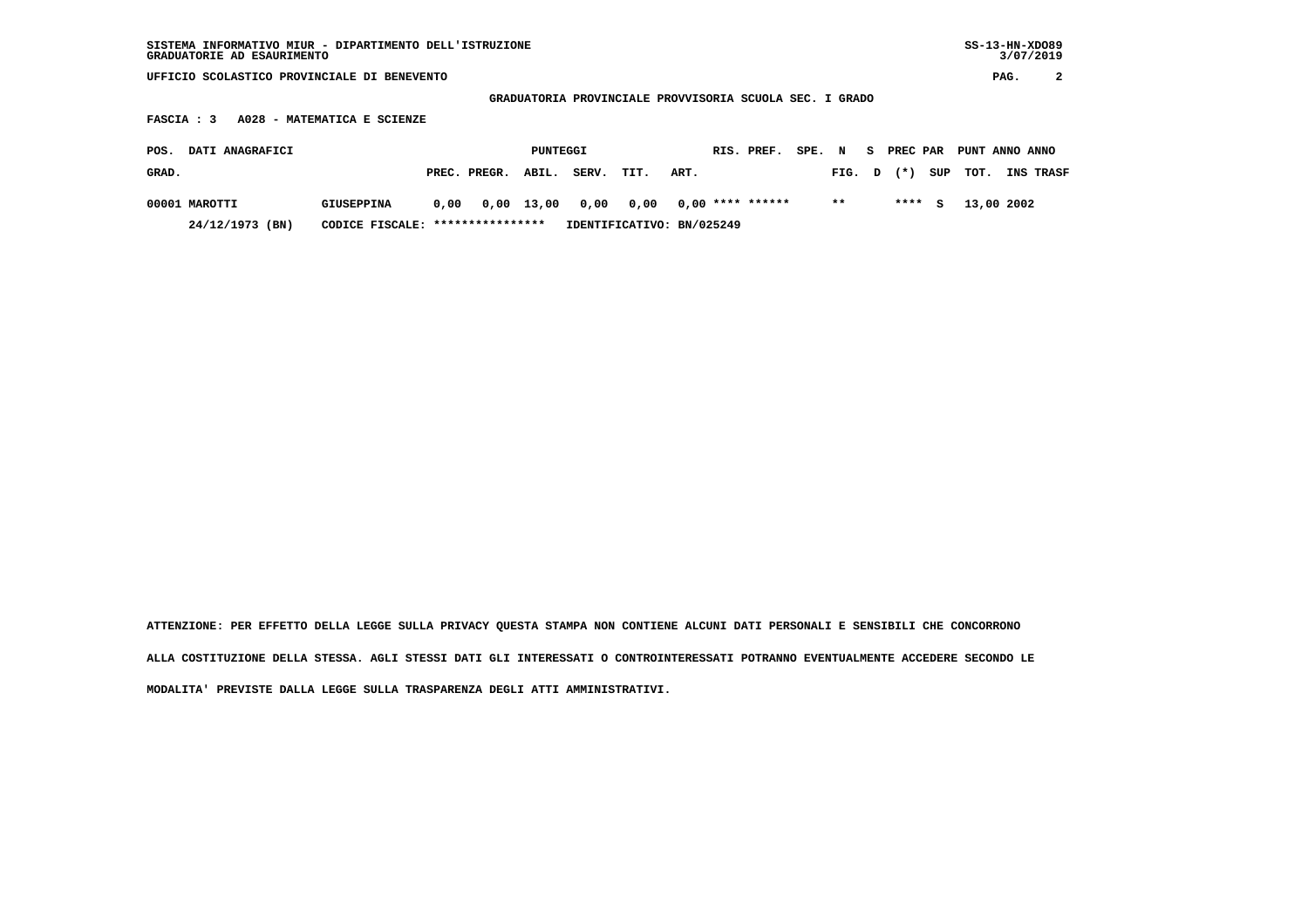| $SS-13-HN-XDO89$<br>SISTEMA INFORMATIVO MIUR - DIPARTIMENTO DELL'ISTRUZIONE<br>3/07/2019<br>GRADUATORIE AD ESAURIMENTO |                                   |                           |                                                         |                         |                   |  |  |  |  |  |  |  |  |
|------------------------------------------------------------------------------------------------------------------------|-----------------------------------|---------------------------|---------------------------------------------------------|-------------------------|-------------------|--|--|--|--|--|--|--|--|
| UFFICIO SCOLASTICO PROVINCIALE DI BENEVENTO                                                                            |                                   |                           |                                                         |                         | 2<br>PAG.         |  |  |  |  |  |  |  |  |
|                                                                                                                        |                                   |                           | GRADUATORIA PROVINCIALE PROVVISORIA SCUOLA SEC. I GRADO |                         |                   |  |  |  |  |  |  |  |  |
| A028 - MATEMATICA E SCIENZE<br>FASCIA : 3                                                                              |                                   |                           |                                                         |                         |                   |  |  |  |  |  |  |  |  |
| DATI ANAGRAFICI<br>POS.                                                                                                | PUNTEGGI                          |                           | RIS. PREF.<br>SPE. N                                    | S PREC PAR              | PUNT ANNO ANNO    |  |  |  |  |  |  |  |  |
| GRAD.                                                                                                                  | PREC. PREGR.<br>ABIL.             | SERV.<br>TIT.             | ART.                                                    | SUP<br>$(* )$<br>FIG. D | TOT.<br>INS TRASF |  |  |  |  |  |  |  |  |
| 00001 MAROTTI<br>GIUSEPPINA                                                                                            | $0,00$ 13,00<br>0.00              | 0,00<br>0,00              | $0.00$ **** ******                                      | $* *$<br>****<br>s      | 13,00 2002        |  |  |  |  |  |  |  |  |
| 24/12/1973 (BN)                                                                                                        | CODICE FISCALE: ***************** | IDENTIFICATIVO: BN/025249 |                                                         |                         |                   |  |  |  |  |  |  |  |  |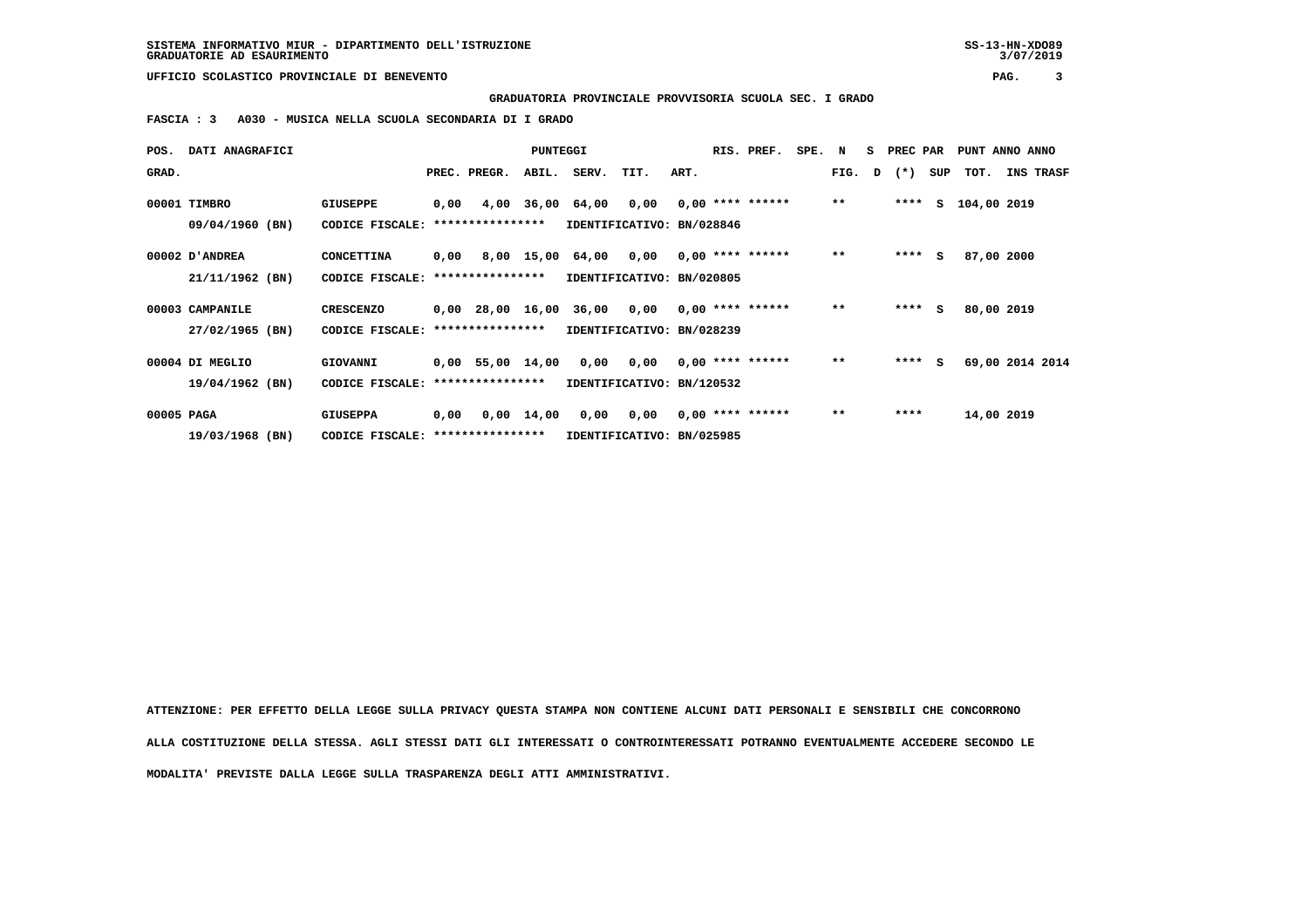**GRADUATORIA PROVINCIALE PROVVISORIA SCUOLA SEC. I GRADO**

 **FASCIA : 3 A030 - MUSICA NELLA SCUOLA SECONDARIA DI I GRADO**

| POS.       | DATI ANAGRAFICI |                                   |      |                    | PUNTEGGI     |                                        |                                        |      | RIS. PREF.         | SPE. N |              | S PREC PAR |     | PUNT ANNO ANNO  |           |
|------------|-----------------|-----------------------------------|------|--------------------|--------------|----------------------------------------|----------------------------------------|------|--------------------|--------|--------------|------------|-----|-----------------|-----------|
| GRAD.      |                 |                                   |      | PREC. PREGR.       | ABIL.        | SERV.                                  | TIT.                                   | ART. |                    |        | FIG. D       | $(*)$      | SUP | TOT.            | INS TRASF |
|            | 00001 TIMBRO    | GIUSEPPE                          | 0,00 |                    |              | 4,00 36,00 64,00 0,00 0,00 **** ****** |                                        |      |                    |        | $* *$        | ****       | s   | 104,00 2019     |           |
|            | 09/04/1960 (BN) | CODICE FISCALE:                   |      | ****************   |              | IDENTIFICATIVO: BN/028846              |                                        |      |                    |        |              |            |     |                 |           |
|            | 00002 D'ANDREA  | <b>CONCETTINA</b>                 | 0,00 |                    |              | 8,00 15,00 64,00 0,00 0,00 **** ****** |                                        |      |                    |        | $***$        | ****       | S   | 87,00 2000      |           |
|            | 21/11/1962 (BN) | CODICE FISCALE:                   |      | ****************   |              | IDENTIFICATIVO: BN/020805              |                                        |      |                    |        |              |            |     |                 |           |
|            | 00003 CAMPANILE | <b>CRESCENZO</b>                  |      |                    |              | 0,00 28,00 16,00 36,00 0,00            |                                        |      | $0.00$ **** ****** |        | $***$        | $***$ S    |     | 80,00 2019      |           |
|            | 27/02/1965 (BN) | CODICE FISCALE:                   |      | ****************   |              | IDENTIFICATIVO: BN/028239              |                                        |      |                    |        |              |            |     |                 |           |
|            | 00004 DI MEGLIO | GIOVANNI                          |      | $0,00$ 55,00 14,00 |              |                                        | $0,00$ $0,00$ $0,00$ $***$ **** ****** |      |                    |        | $\star\star$ | ****       | s   | 69,00 2014 2014 |           |
|            | 19/04/1962 (BN) | CODICE FISCALE:                   |      | ****************   |              | IDENTIFICATIVO: BN/120532              |                                        |      |                    |        |              |            |     |                 |           |
| 00005 PAGA |                 | <b>GIUSEPPA</b>                   | 0,00 |                    | $0,00$ 14,00 |                                        | 0,00 0,00                              |      | $0.00$ **** ****** |        | $* *$        | ****       |     | 14,00 2019      |           |
|            | 19/03/1968 (BN) | CODICE FISCALE: ***************** |      |                    |              | IDENTIFICATIVO: BN/025985              |                                        |      |                    |        |              |            |     |                 |           |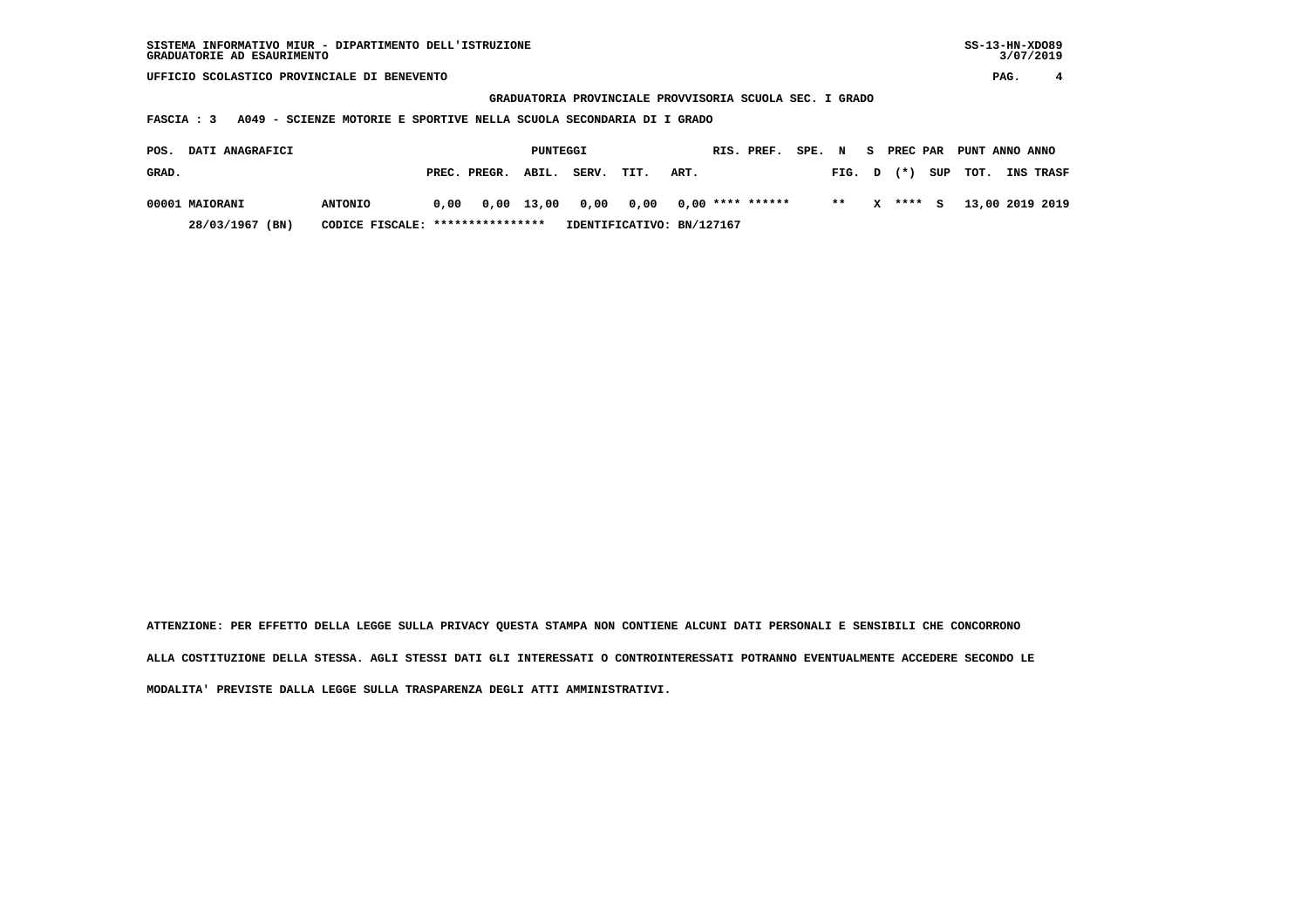**GRADUATORIA PROVINCIALE PROVVISORIA SCUOLA SEC. I GRADO**

 **FASCIA : 3 A049 - SCIENZE MOTORIE E SPORTIVE NELLA SCUOLA SECONDARIA DI I GRADO**

| <b>DATI ANAGRAFICI</b><br>POS. |                 |                                  |      |              |       | RIS. PREF. | SPE. N                                |      | - S- | <b>PREC PAR</b> |        | PUNT ANNO ANNO |          |          |          |                  |
|--------------------------------|-----------------|----------------------------------|------|--------------|-------|------------|---------------------------------------|------|------|-----------------|--------|----------------|----------|----------|----------|------------------|
| GRAD.                          |                 |                                  |      | PREC. PREGR. | ABIL. | SERV.      | TIT.                                  | ART. |      |                 | FIG. D |                | $(*)$    |          | SUP TOT. | <b>INS TRASF</b> |
|                                | 00001 MAIORANI  | <b>ANTONIO</b>                   | 0.00 |              |       |            | 0,00 13,00 0,00 0,00 0,00 **** ****** |      |      |                 | $* *$  |                | $X$ **** | <b>S</b> |          | 13,00 2019 2019  |
|                                | 28/03/1967 (BN) | CODICE FISCALE: **************** |      |              |       |            | IDENTIFICATIVO: BN/127167             |      |      |                 |        |                |          |          |          |                  |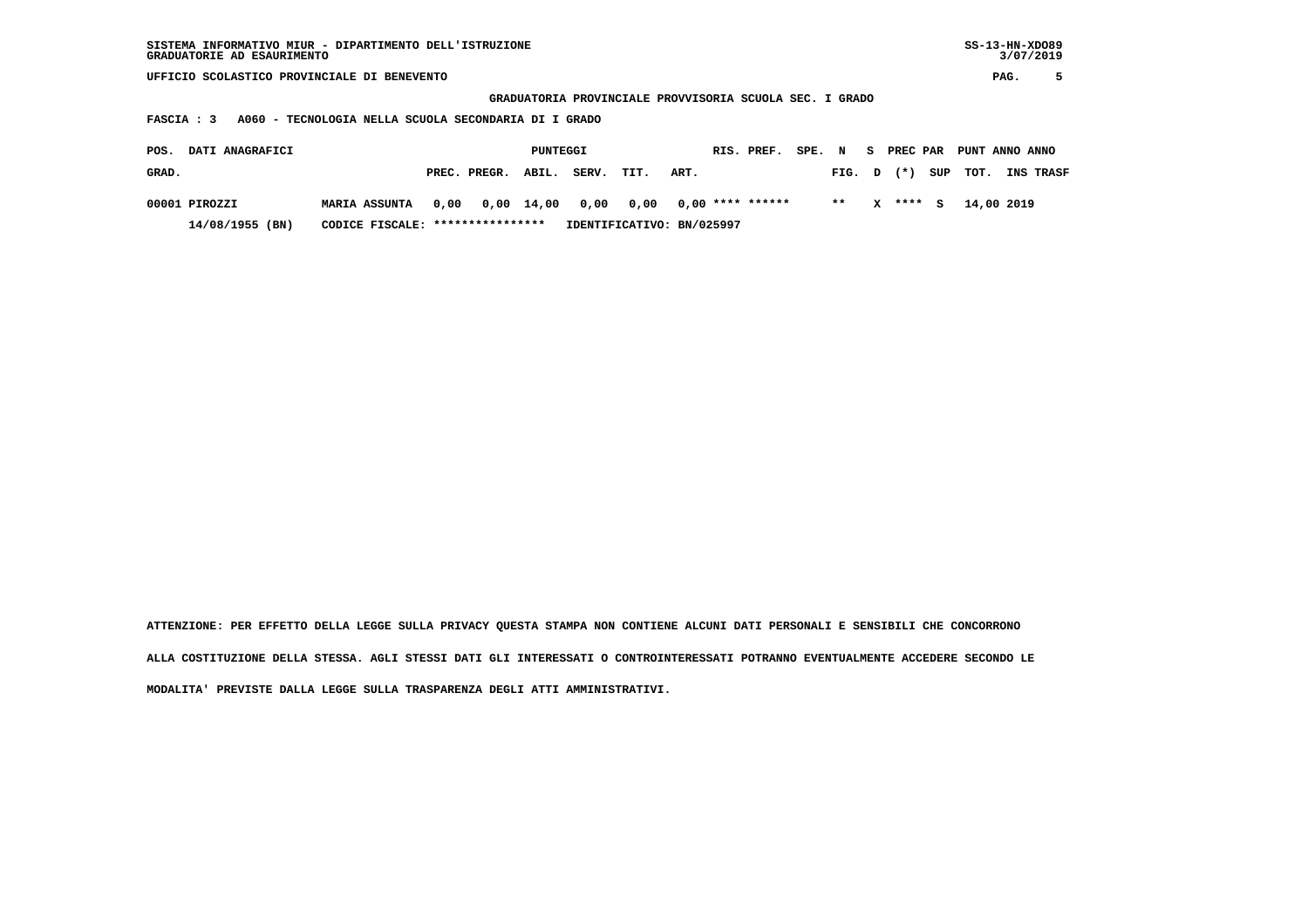| SISTEMA INFORMATIVO MIUR - DIPARTIMENTO DELL'ISTRUZIONE<br>GRADUATORIE AD ESAURIMENTO |                                                         |      |                  |              |                           |      |      |  |                    |        |        |          |                 |     |                | $SS-13-HN-XDO89$<br>3/07/2019 |           |  |
|---------------------------------------------------------------------------------------|---------------------------------------------------------|------|------------------|--------------|---------------------------|------|------|--|--------------------|--------|--------|----------|-----------------|-----|----------------|-------------------------------|-----------|--|
| UFFICIO SCOLASTICO PROVINCIALE DI BENEVENTO                                           |                                                         |      |                  |              |                           |      |      |  |                    |        |        |          |                 |     | PAG.           | 5                             |           |  |
|                                                                                       | GRADUATORIA PROVINCIALE PROVVISORIA SCUOLA SEC. I GRADO |      |                  |              |                           |      |      |  |                    |        |        |          |                 |     |                |                               |           |  |
| A060 - TECNOLOGIA NELLA SCUOLA SECONDARIA DI I GRADO<br>FASCIA : 3                    |                                                         |      |                  |              |                           |      |      |  |                    |        |        |          |                 |     |                |                               |           |  |
| DATI ANAGRAFICI<br>POS.                                                               |                                                         |      |                  | PUNTEGGI     |                           |      |      |  | RIS. PREF.         | SPE. N |        | <b>S</b> | <b>PREC PAR</b> |     | PUNT ANNO ANNO |                               |           |  |
| GRAD.                                                                                 |                                                         |      | PREC. PREGR.     | ABIL.        | SERV.                     | TIT. | ART. |  |                    |        | FIG. D |          | $(* )$          | SUP | TOT.           |                               | INS TRASF |  |
| 00001 PIROZZI                                                                         | <b>MARIA ASSUNTA</b>                                    | 0,00 |                  | $0,00$ 14,00 | 0,00                      | 0,00 |      |  | $0.00$ **** ****** |        | $* *$  | x        | ****            | s   |                | 14,00 2019                    |           |  |
| 14/08/1955 (BN)                                                                       | CODICE FISCALE:                                         |      | **************** |              | IDENTIFICATIVO: BN/025997 |      |      |  |                    |        |        |          |                 |     |                |                               |           |  |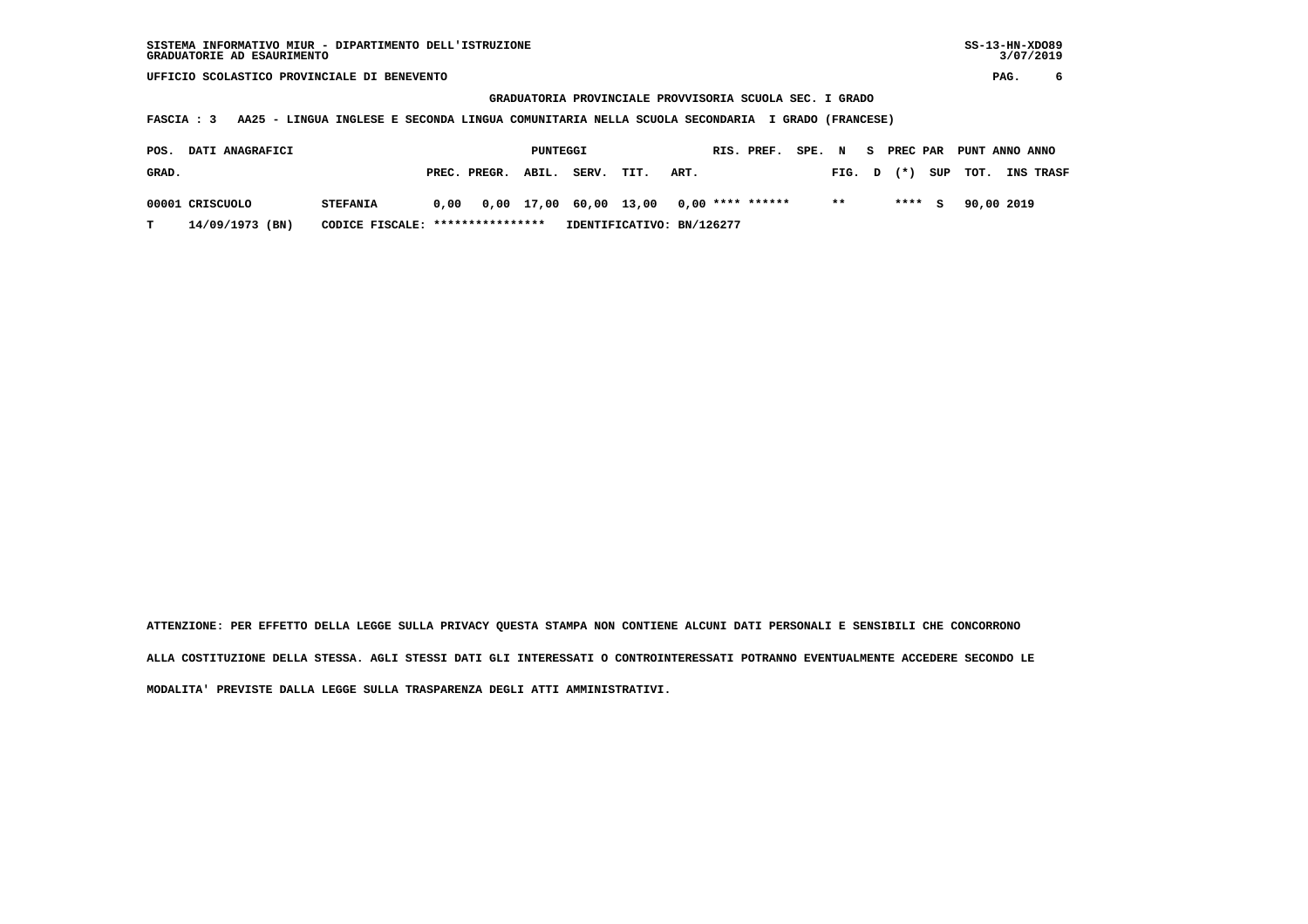**GRADUATORIA PROVINCIALE PROVVISORIA SCUOLA SEC. I GRADO**

 **FASCIA : 3 AA25 - LINGUA INGLESE E SECONDA LINGUA COMUNITARIA NELLA SCUOLA SECONDARIA I GRADO (FRANCESE)**

| POS.  | DATI ANAGRAFICI |                                  |                                                                | PUNTEGGI |       |                           |      | RIS. PREF. | SPE. N |       |  |        | S PREC PAR PUNT ANNO ANNO |            |                  |
|-------|-----------------|----------------------------------|----------------------------------------------------------------|----------|-------|---------------------------|------|------------|--------|-------|--|--------|---------------------------|------------|------------------|
| GRAD. |                 |                                  | PREC. PREGR. ABIL.                                             |          | SERV. | TIT.                      | ART. |            |        |       |  |        | FIG. $D$ $(*)$ SUP TOT.   |            | <b>INS TRASF</b> |
|       | 00001 CRISCUOLO | <b>STEFANIA</b>                  | $0.00$ $0.00$ $17.00$ $60.00$ $13.00$ $0.00$ $***$ **** ****** |          |       |                           |      |            |        | $***$ |  | $***5$ |                           | 90,00 2019 |                  |
|       | 14/09/1973 (BN) | CODICE FISCALE: **************** |                                                                |          |       | IDENTIFICATIVO: BN/126277 |      |            |        |       |  |        |                           |            |                  |